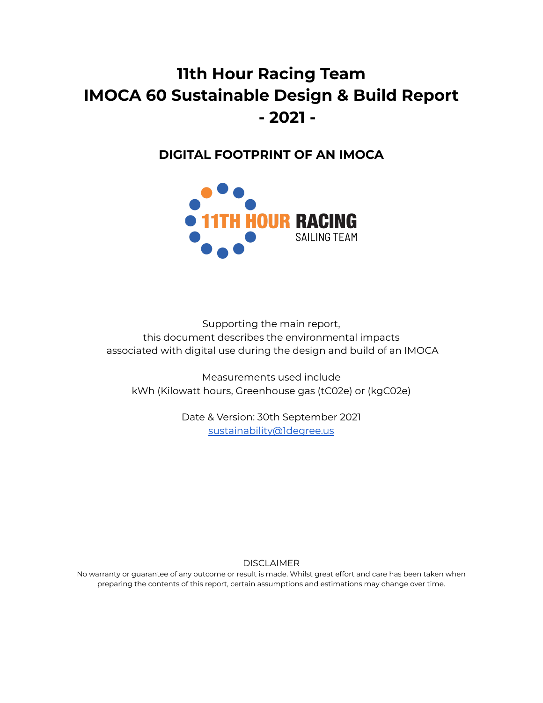## **11th Hour Racing Team IMOCA 60 Sustainable Design & Build Report - 2021 -**

### **DIGITAL FOOTPRINT OF AN IMOCA**



Supporting the main report, this document describes the environmental impacts associated with digital use during the design and build of an IMOCA

Measurements used include kWh (Kilowatt hours, Greenhouse gas (tC02e) or (kgC02e)

> Date & Version: 30th September 2021 [sustainability@1degree.us](mailto:sustainability@1degree.us)

> > DISCLAIMER

No warranty or guarantee of any outcome or result is made. Whilst great effort and care has been taken when preparing the contents of this report, certain assumptions and estimations may change over time.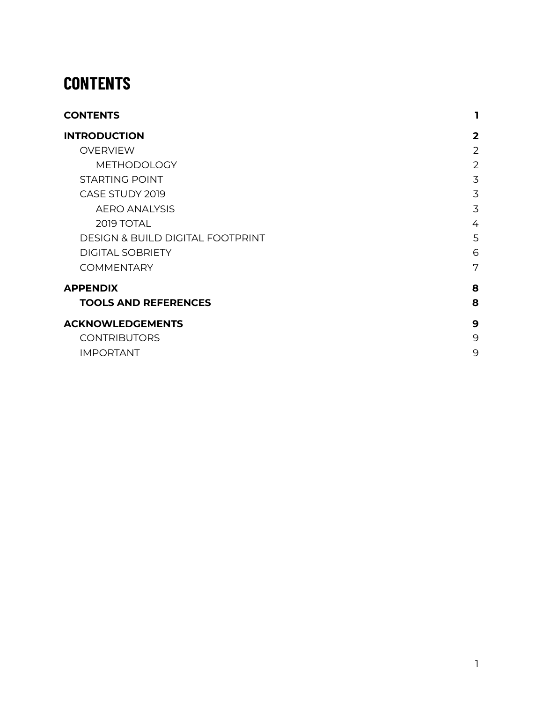## <span id="page-1-0"></span>**CONTENTS**

| <b>CONTENTS</b>                             | 1              |
|---------------------------------------------|----------------|
| <b>INTRODUCTION</b>                         | $\overline{2}$ |
| <b>OVERVIEW</b>                             | 2              |
| <b>METHODOLOGY</b>                          | $\overline{2}$ |
| <b>STARTING POINT</b>                       | 3              |
| CASE STUDY 2019                             | 3              |
| <b>AERO ANALYSIS</b>                        | 3              |
| 2019 TOTAL                                  | 4              |
| <b>DESIGN &amp; BUILD DIGITAL FOOTPRINT</b> | 5              |
| <b>DIGITAL SOBRIETY</b>                     | 6              |
| <b>COMMENTARY</b>                           | 7              |
| <b>APPENDIX</b>                             | 8              |
| <b>TOOLS AND REFERENCES</b>                 | 8              |
| <b>ACKNOWLEDGEMENTS</b>                     | 9              |
| <b>CONTRIBUTORS</b>                         | 9              |
| <b>IMPORTANT</b>                            | 9              |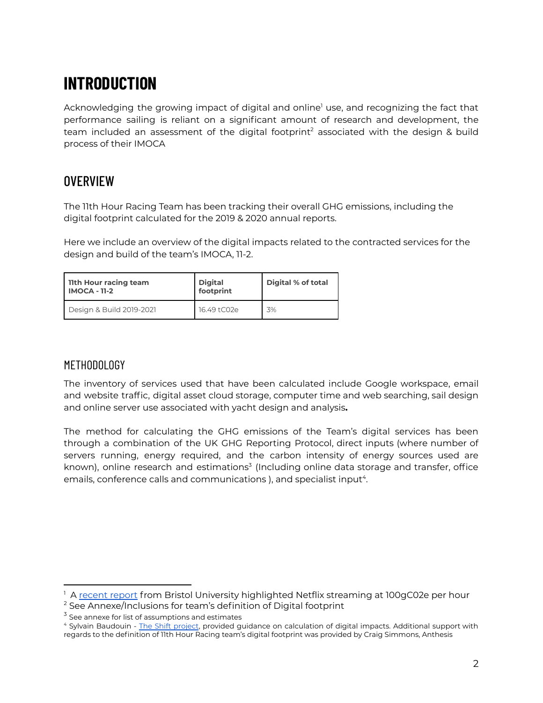# <span id="page-2-0"></span>**INTRODUCTION**

Acknowledging the growing impact of digital and online<sup>1</sup> use, and recognizing the fact that performance sailing is reliant on a significant amount of research and development, the team included an assessment of the digital footprint<sup>2</sup> associated with the design & build process of their IMOCA

### <span id="page-2-1"></span>**OVERVIEW**

The 11th Hour Racing Team has been tracking their overall GHG emissions, including the digital footprint calculated for the 2019 & 2020 annual reports.

Here we include an overview of the digital impacts related to the contracted services for the design and build of the team's IMOCA, 11-2.

| I lith Hour racing team<br>  IMOCA - 11-2 | <b>Digital</b><br>footprint | Digital % of total |
|-------------------------------------------|-----------------------------|--------------------|
| Design & Build 2019-2021                  | 16.49 tC02e                 | 3%                 |

#### <span id="page-2-2"></span>METHODOLOGY

The inventory of services used that have been calculated include Google workspace, email and website traffic, digital asset cloud storage, computer time and web searching, sail design and online server use associated with yacht design and analysis**.**

The method for calculating the GHG emissions of the Team's digital services has been through a combination of the UK GHG Reporting Protocol, direct inputs (where number of servers running, energy required, and the carbon intensity of energy sources used are known), online research and estimations<sup>3</sup> (Including online data storage and transfer, office emails, conference calls and communications ), and specialist input $^4$ .

<sup>&</sup>lt;sup>1</sup> A [recent](https://www.lesnumeriques.com/vie-du-net/netflix-passe-enfin-au-detecteur-d-empreinte-carbone-n161775.html) report from Bristol University highlighted Netflix streaming at 100gC02e per hour

<sup>&</sup>lt;sup>2</sup> See Annexe/Inclusions for team's definition of Digital footprint

 $3$  See annexe for list of assumptions and estimates

<sup>&</sup>lt;sup>4</sup> Sylvain Baudouin - The Shift [project](https://theshiftproject.org/), provided guidance on calculation of digital impacts. Additional support with regards to the definition of 11th Hour Racing team's digital footprint was provided by Craig Simmons, Anthesis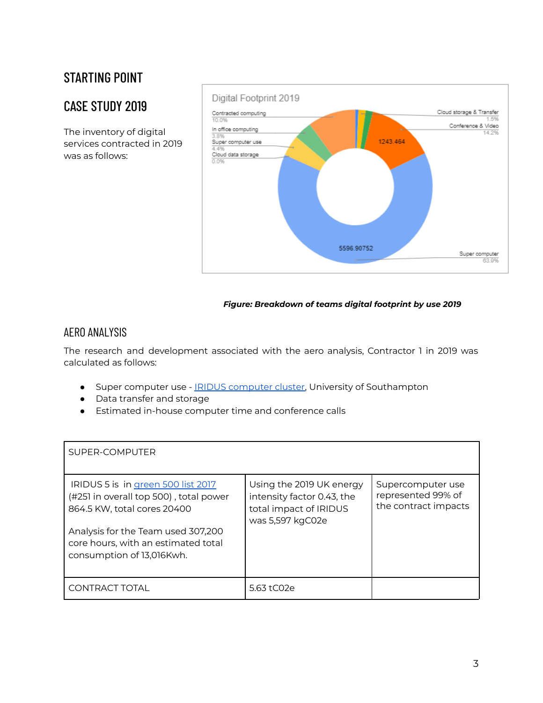## <span id="page-3-0"></span>STARTING POINT

### <span id="page-3-1"></span>CASE STUDY 2019

The inventory of digital services contracted in 2019 was as follows:



#### *Figure: Breakdown of teams digital footprint by use 2019*

#### <span id="page-3-2"></span>AERO ANALYSIS

The research and development associated with the aero analysis, Contractor 1 in 2019 was calculated as follows:

- Super [computer](https://www.southampton.ac.uk/isolutions/staff/iridis.page) use IRIDUS computer cluster, University of Southampton
- Data transfer and storage
- Estimated in-house computer time and conference calls

| SUPER-COMPUTER                                                                                                                                                                                                        |                                                                                                      |                                                                 |
|-----------------------------------------------------------------------------------------------------------------------------------------------------------------------------------------------------------------------|------------------------------------------------------------------------------------------------------|-----------------------------------------------------------------|
| IRIDUS 5 is in green 500 list 2017<br>(#251 in overall top 500), total power<br>864.5 KW, total cores 20400<br>Analysis for the Team used 307,200<br>core hours, with an estimated total<br>consumption of 13,016Kwh. | Using the 2019 UK energy<br>intensity factor 0.43, the<br>total impact of IRIDUS<br>was 5,597 kgC02e | Supercomputer use<br>represented 99% of<br>the contract impacts |
| CONTRACT TOTAL                                                                                                                                                                                                        | 5.63 tC02e                                                                                           |                                                                 |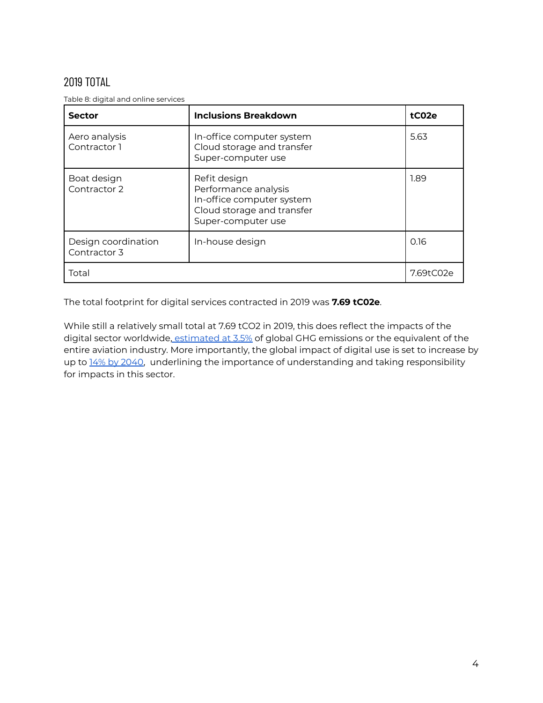#### <span id="page-4-0"></span>2019 TOTAL

Table 8: digital and online services

| <b>Sector</b>                       | <b>Inclusions Breakdown</b>                                                                                           | tC02e     |
|-------------------------------------|-----------------------------------------------------------------------------------------------------------------------|-----------|
| Aero analysis<br>Contractor 1       | In-office computer system<br>Cloud storage and transfer<br>Super-computer use                                         | 5.63      |
| Boat design<br>Contractor 2         | Refit design<br>Performance analysis<br>In-office computer system<br>Cloud storage and transfer<br>Super-computer use | 1.89      |
| Design coordination<br>Contractor 3 | In-house design                                                                                                       | 0.16      |
| Total                               |                                                                                                                       | 7.69tC02e |

The total footprint for digital services contracted in 2019 was **7.69 tC02e**.

While still a relatively small total at 7.69 tCO2 in 2019, this does reflect the impacts of the digital sector worldwide, [estimated](https://www.purdue.edu/newsroom/releases/2021/Q1/turn-off-that-camera-during-virtual-meetings,-environmental-study-says.html?fbclid=IwAR2AuPiuOS2lJzL8Czsf9M-B2FMfwrlwknXcwwZrE-Qlf_AGtUKTGFazDAchttps://www.purdue.edu/newsroom/releases/2021/Q1/turn-off-that-camera-during-virtual-meetings,-environmental-study-says.html?fbclid=IwAR2AuPiuOS2lJzL8Czsf9M-B2FMfwrlwknXcwwZrE-Qlf_AGtUKTGFazDAc) at 3.5% of global GHG emissions or the equivalent of the entire aviation industry. More importantly, the global impact of digital use is set to increase by up to 14% by [2040,](https://www.sciencedirect.com/science/article/abs/pii/S095965261733233X?via%3Dihub) underlining the importance of understanding and taking responsibility for impacts in this sector.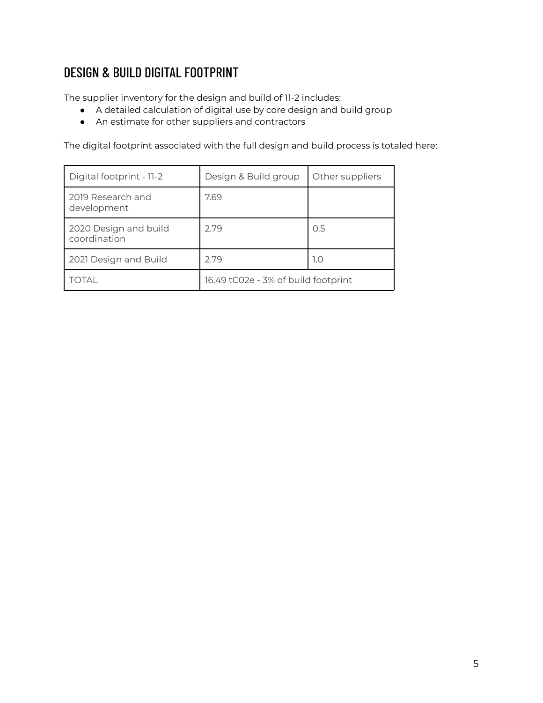### <span id="page-5-0"></span>DESIGN & BUILD DIGITAL FOOTPRINT

The supplier inventory for the design and build of 11-2 includes:

- A detailed calculation of digital use by core design and build group
- An estimate for other suppliers and contractors

The digital footprint associated with the full design and build process is totaled here:

| Digital footprint - 11-2              | Design & Build group                | Other suppliers |
|---------------------------------------|-------------------------------------|-----------------|
| 2019 Research and<br>development      | 7.69                                |                 |
| 2020 Design and build<br>coordination | 2.79                                | 0.5             |
| 2021 Design and Build                 | 2.79                                | 1.0             |
| <b>TOTAL</b>                          | 16.49 tC02e - 3% of build footprint |                 |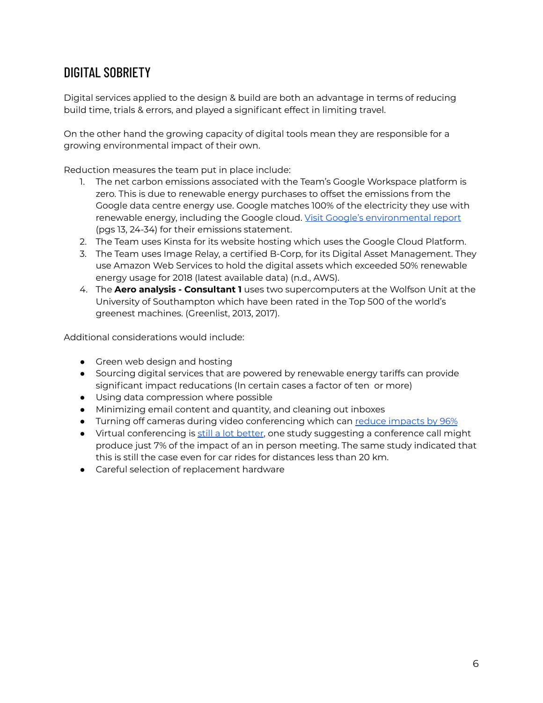## <span id="page-6-0"></span>DIGITAL SOBRIETY

Digital services applied to the design & build are both an advantage in terms of reducing build time, trials & errors, and played a significant effect in limiting travel.

On the other hand the growing capacity of digital tools mean they are responsible for a growing environmental impact of their own.

Reduction measures the team put in place include:

- 1. The net carbon emissions associated with the Team's Google Workspace platform is zero. This is due to renewable energy purchases to offset the emissions from the Google data centre energy use. Google matches 100% of the electricity they use with renewable energy, including the Google cloud. Visit Google's [environmental](https://sustainability.google/reports/environmental-report-2019/) report (pgs 13, 24-34) for their emissions statement.
- 2. The Team uses Kinsta for its website hosting which uses the Google Cloud Platform.
- 3. The Team uses Image Relay, a certified B-Corp, for its Digital Asset Management. They use Amazon Web Services to hold the digital assets which exceeded 50% renewable energy usage for 2018 (latest available data) (n.d., AWS).
- 4. The **Aero analysis - Consultant 1** uses two supercomputers at the Wolfson Unit at the University of Southampton which have been rated in the Top 500 of the world's greenest machines. (Greenlist, 2013, 2017).

Additional considerations would include:

- Green web design and hosting
- Sourcing digital services that are powered by renewable energy tariffs can provide significant impact reducations (In certain cases a factor of ten or more)
- Using data compression where possible
- Minimizing email content and quantity, and cleaning out inboxes
- Turning off cameras during video conferencing which can reduce [impacts](https://www.purdue.edu/newsroom/releases/2021/Q1/turn-off-that-camera-during-virtual-meetings,-environmental-study-says.html?fbclid=IwAR2AuPiuOS2lJzL8Czsf9M-B2FMfwrlwknXcwwZrE-Qlf_AGtUKTGFazDAc) by 96%
- Virtual conferencing is still a lot [better](https://www.bbc.com/future/article/20200305-why-your-internet-habits-are-not-as-clean-as-you-think), one study suggesting a conference call might produce just 7% of the impact of an in person meeting. The same study indicated that this is still the case even for car rides for distances less than 20 km.
- Careful selection of replacement hardware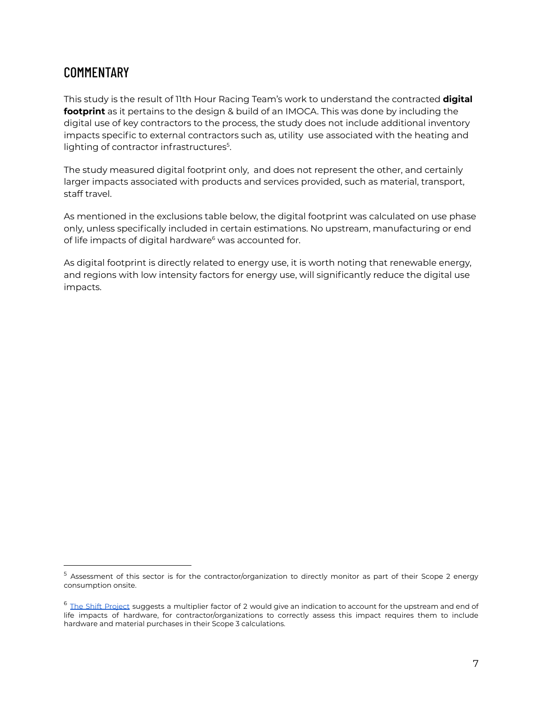#### <span id="page-7-0"></span>**COMMENTARY**

This study is the result of 11th Hour Racing Team's work to understand the contracted **digital footprint** as it pertains to the design & build of an IMOCA. This was done by including the digital use of key contractors to the process, the study does not include additional inventory impacts specific to external contractors such as, utility use associated with the heating and lighting of contractor infrastructures<sup>5</sup>.

The study measured digital footprint only, and does not represent the other, and certainly larger impacts associated with products and services provided, such as material, transport, staff travel.

As mentioned in the exclusions table below, the digital footprint was calculated on use phase only, unless specifically included in certain estimations. No upstream, manufacturing or end of life impacts of digital hardware<sup>6</sup> was accounted for.

As digital footprint is directly related to energy use, it is worth noting that renewable energy, and regions with low intensity factors for energy use, will significantly reduce the digital use impacts.

<sup>5</sup> Assessment of this sector is for the contractor/organization to directly monitor as part of their Scope 2 energy consumption onsite.

 $6$  The Shift [Project](https://theshiftproject.org/) suggests a multiplier factor of 2 would give an indication to account for the upstream and end of life impacts of hardware, for contractor/organizations to correctly assess this impact requires them to include hardware and material purchases in their Scope 3 calculations.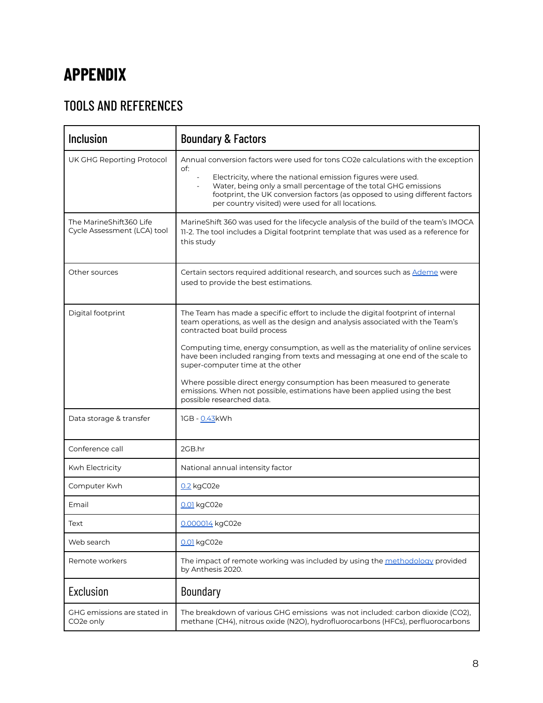# <span id="page-8-0"></span>**APPENDIX**

## <span id="page-8-1"></span>TOOLS AND REFERENCES

| <b>Inclusion</b>                                       | <b>Boundary &amp; Factors</b>                                                                                                                                                                                                                                                                                                                                                                                                                                                                                                                                                                       |
|--------------------------------------------------------|-----------------------------------------------------------------------------------------------------------------------------------------------------------------------------------------------------------------------------------------------------------------------------------------------------------------------------------------------------------------------------------------------------------------------------------------------------------------------------------------------------------------------------------------------------------------------------------------------------|
| UK GHG Reporting Protocol                              | Annual conversion factors were used for tons CO2e calculations with the exception<br>of:<br>Electricity, where the national emission figures were used.<br>Water, being only a small percentage of the total GHG emissions<br>footprint, the UK conversion factors (as opposed to using different factors<br>per country visited) were used for all locations.                                                                                                                                                                                                                                      |
| The MarineShift360 Life<br>Cycle Assessment (LCA) tool | MarineShift 360 was used for the lifecycle analysis of the build of the team's IMOCA<br>11-2. The tool includes a Digital footprint template that was used as a reference for<br>this study                                                                                                                                                                                                                                                                                                                                                                                                         |
| Other sources                                          | Certain sectors required additional research, and sources such as Ademe were<br>used to provide the best estimations.                                                                                                                                                                                                                                                                                                                                                                                                                                                                               |
| Digital footprint                                      | The Team has made a specific effort to include the digital footprint of internal<br>team operations, as well as the design and analysis associated with the Team's<br>contracted boat build process<br>Computing time, energy consumption, as well as the materiality of online services<br>have been included ranging from texts and messaging at one end of the scale to<br>super-computer time at the other<br>Where possible direct energy consumption has been measured to generate<br>emissions. When not possible, estimations have been applied using the best<br>possible researched data. |
| Data storage & transfer                                | 1GB - 0.43kWh                                                                                                                                                                                                                                                                                                                                                                                                                                                                                                                                                                                       |
| Conference call                                        | 2GB.hr                                                                                                                                                                                                                                                                                                                                                                                                                                                                                                                                                                                              |
| Kwh Electricity                                        | National annual intensity factor                                                                                                                                                                                                                                                                                                                                                                                                                                                                                                                                                                    |
| Computer Kwh                                           | 0.2 kgC02e                                                                                                                                                                                                                                                                                                                                                                                                                                                                                                                                                                                          |
| Email                                                  | 0.01 kgC02e                                                                                                                                                                                                                                                                                                                                                                                                                                                                                                                                                                                         |
| Text                                                   | 0.000014 kgC02e                                                                                                                                                                                                                                                                                                                                                                                                                                                                                                                                                                                     |
| Web search                                             | 0.01 kgC02e                                                                                                                                                                                                                                                                                                                                                                                                                                                                                                                                                                                         |
| Remote workers                                         | The impact of remote working was included by using the methodology provided<br>by Anthesis 2020.                                                                                                                                                                                                                                                                                                                                                                                                                                                                                                    |
| Exclusion                                              | Boundary                                                                                                                                                                                                                                                                                                                                                                                                                                                                                                                                                                                            |
| GHG emissions are stated in<br>CO <sub>2</sub> e only  | The breakdown of various GHG emissions was not included: carbon dioxide (CO2),<br>methane (CH4), nitrous oxide (N2O), hydrofluorocarbons (HFCs), perfluorocarbons                                                                                                                                                                                                                                                                                                                                                                                                                                   |